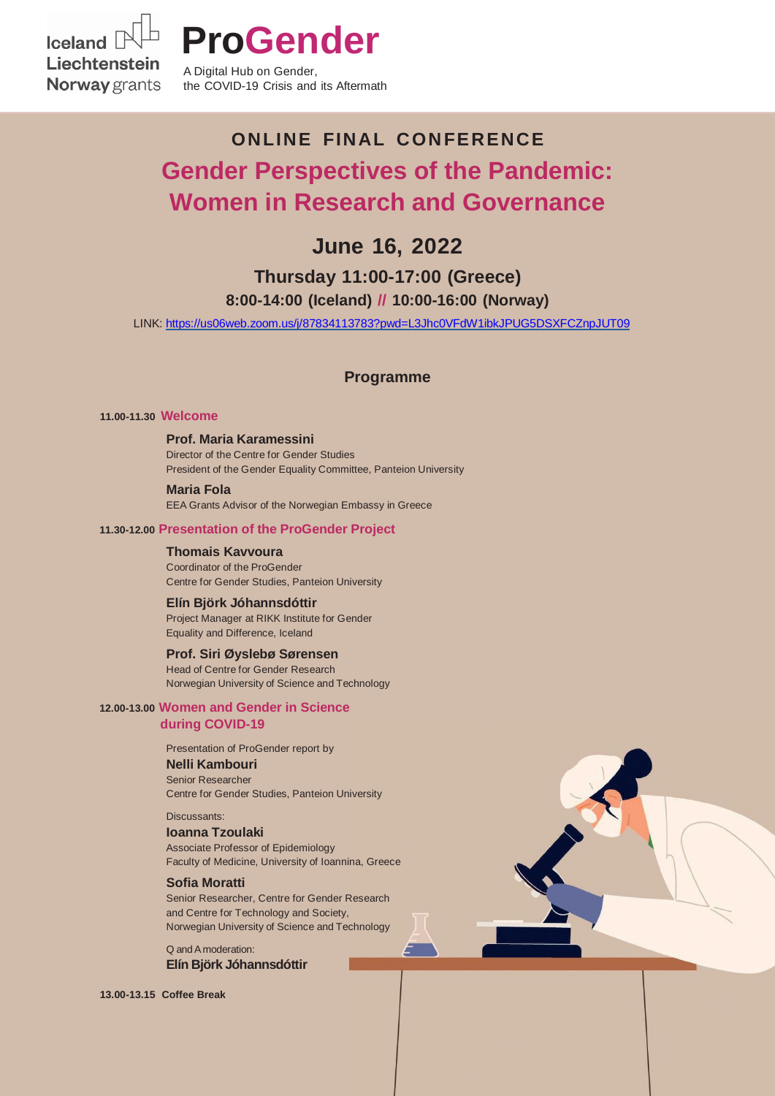Iceland<sup>[</sup> Liechtenstein **Norway** grants



A Digital Hub on Gender, the COVID-19 Crisis and its Aftermath

# **ONLINE FINAL C ON FERENCE Gender Perspectives of the Pandemic: Women in Research and Governance**

## **June 16, 2022**

### **Thursday 11:00-17:00 (Greece) 8:00-14:00 (Iceland) // 10:00-16:00 (Norway)**

LINK:<https://us06web.zoom.us/j/87834113783?pwd=L3Jhc0VFdW1ibkJPUG5DSXFCZnpJUT09>

#### **Programme**

#### **11.00-11.30 Welcome**

**Prof. Maria Karamessini** Director of the Centre for Gender Studies President of the Gender Equality Committee, Panteion University

**Maria Fola** EEA Grants Advisor of the Norwegian Embassy in Greece

#### **11.30-12.00 Presentation of the ProGender Project**

**Thomais Kavvoura** Coordinator of the ProGender Centre for Gender Studies, Panteion University

**Elín Björk Jóhannsdóttir** Project Manager at RIKK Institute for Gender Equality and Difference, Iceland

#### **Prof. Siri Øyslebø Sørensen**

Head of Centre for Gender Research Norwegian University of Science and Technology

#### **12.00-13.00 Women and Gender in Science during COVID-19**

Presentation of ProGender report by

#### **Nelli Kambouri**

Senior Researcher Centre for Gender Studies, Panteion University

Discussants:

#### **Ioanna Tzoulaki**

Associate Professor of Epidemiology Faculty of Medicine, University of Ioannina, Greece

#### **Sofia Moratti**

Senior Researcher, Centre for Gender Research and Centre for Technology and Society, Norwegian University of Science and Technology

Q andA moderation: **Elín Björk Jóhannsdóttir**

**13.00-13.15 Coffee Break**